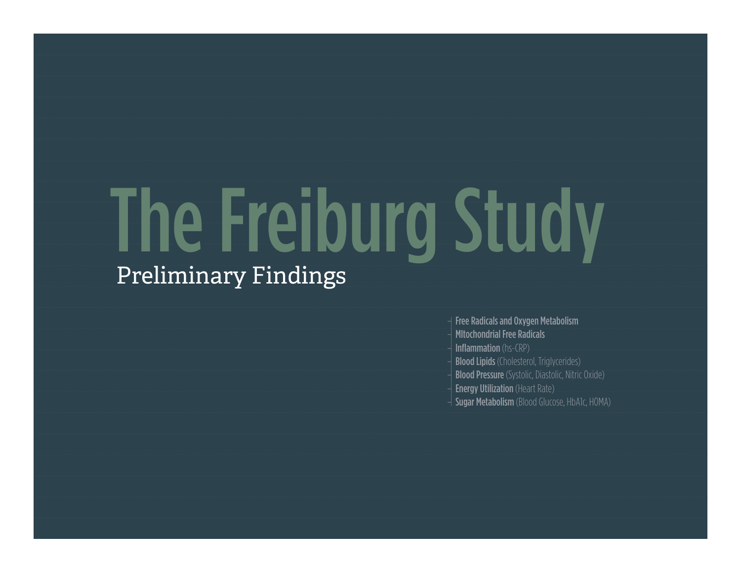# The Freiburg Study Preliminary Findings

– Free Radicals and Oxygen Metabolism – MItochondrial Free Radicals **Inflammation** (hs-CRP) **Blood Lipids** (Cholesterol, Triglycerides) **Blood Pressure** (Systolic, Diastolic, Nitric Oxide) **Energy Utilization** (Heart Rate) **Sugar Metabolism** (Blood Glucose, HbA1c, HOMA)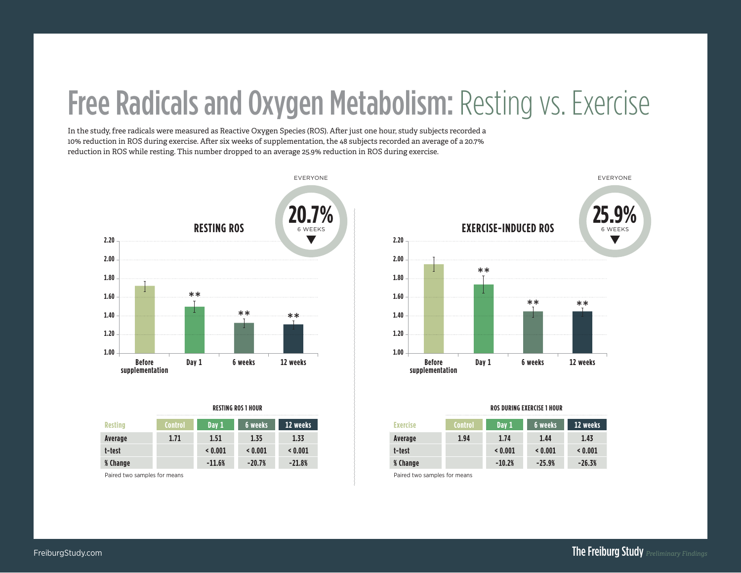# Free Radicals and Oxygen Metabolism: Resting vs. Exercise

In the study, free radicals were measured as Reactive Oxygen Species (ROS). After just one hour, study subjects recorded a 10% reduction in ROS during exercise. After six weeks of supplementation, the 48 subjects recorded an average of a 20.7% reduction in ROS while resting. This number dropped to an average 25.9% reduction in ROS during exercise.



|                |         |          | KESIING KUS I HUUK |          |
|----------------|---------|----------|--------------------|----------|
| <b>Resting</b> | Control | Day 1    | 6 weeks            | 12 weeks |
| Average        | 1.71    | 1.51     | 1.35               | 1.33     |
| t-test         |         | < 0.001  | < 0.001            | < 0.001  |
| % Change       |         | $-11.6%$ | $-20.7%$           | $-21.8%$ |

Paired two samples for means



|      | RESTING ROS 1 HOUR |          |
|------|--------------------|----------|
| ay 1 | 6 weeks            | 12 weeks |
| .51  | 1.35               | 1.33     |
| .001 | < 0.001            | < 0.001  |
| 1.6% | $-20.7%$           | $-21.8%$ |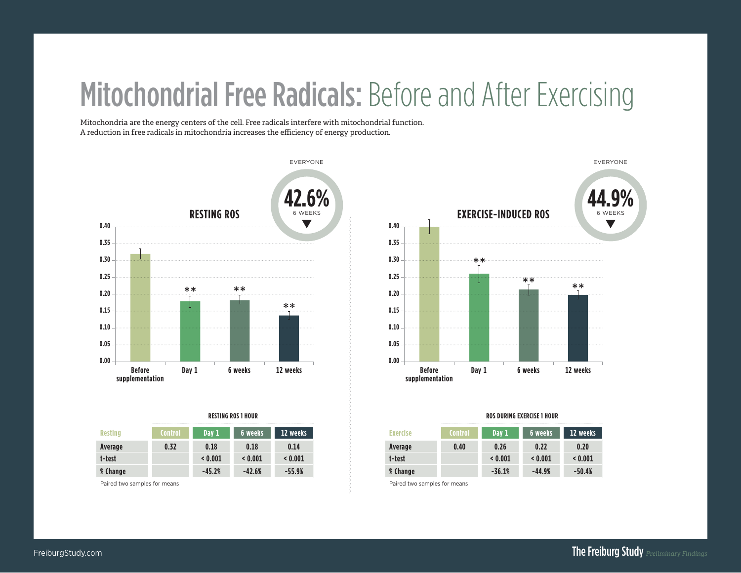# Mitochondrial Free Radicals: Before and After Exercising

Mitochondria are the energy centers of the cell. Free radicals interfere with mitochondrial function. A reduction in free radicals in mitochondria increases the efficiency of energy production.



| <b>Resting</b> | <b>Control</b> | Day 1    | 6 weeks  | 12 weeks |
|----------------|----------------|----------|----------|----------|
| Average        | 0.32           | 0.18     | 0.18     | 0.14     |
| t-test         |                | < 0.001  | < 0.001  | < 0.001  |
| % Change       |                | $-45.2%$ | $-42.6%$ | $-55.9%$ |

Paired two samples for means



### **RESTING ROS 1 HOUR ROS DURING EXERCISE 1 HOUR**

| <b>Exercise</b> | Control | Day 1    | 6 weeks  | 12 weeks |
|-----------------|---------|----------|----------|----------|
| Average         | 0.40    | 0.26     | 0.22     | 0.20     |
| t-test          |         | < 0.001  | < 0.001  | < 0.001  |
| % Change        |         | $-36.1%$ | $-44.9%$ | $-50.4%$ |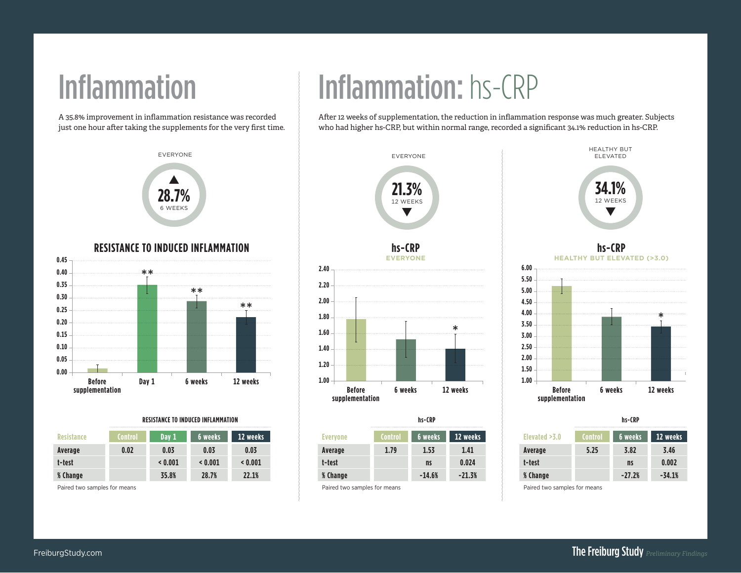A 35.8% improvement in inflammation resistance was recorded just one hour after taking the supplements for the very first time.



### **RESISTANCE TO INDUCED INFLAMMATION**



### **RESISTANCE TO INDUCED INFLAMMATION**

| <b>Resistance</b> | <b>Control</b> | Day 1   | 6 weeks | 12 weeks |
|-------------------|----------------|---------|---------|----------|
| Average           | 0.02           | 0.03    | 0.03    | 0.03     |
| t-test            |                | < 0.001 | < 0.001 | < 0.001  |
| % Change          |                | 35.8%   | 28.7%   | 22.1%    |

Paired two samples for means

# Inflammation Inflammation: hs-CRP

After 12 weeks of supplementation, the reduction in inflammation response was much greater. Subjects who had higher hs-CRP, but within normal range, recorded a significant 34.1% reduction in hs-CRP.



|                 |                | II)-LRF   |          |
|-----------------|----------------|-----------|----------|
| <b>Everyone</b> | <b>Control</b> | 6 weeks   | 12 weeks |
| Average         | 1.79           | 1.53      | 1.41     |
| t-test          |                | <b>ns</b> | 0.024    |
| % Change        |                | $-14.6%$  | $-21.3%$ |
| ______          |                |           |          |

### Paired two samples for means



**hs-CRP HEALTHY BUT ELEVATED (>3.0)**



| hs-CRP         |          |               |                | hs-CRP    |          |
|----------------|----------|---------------|----------------|-----------|----------|
| 6 weeks        | 12 weeks | Elevated >3.0 | <b>Control</b> | 6 weeks   | 12 weeks |
| 1.53           | 1.41     | Average       | 5.25           | 3.82      | 3.46     |
| n <sub>s</sub> | 0.024    | t-test        |                | <b>ns</b> | 0.002    |
| $-14.6%$       | $-21.3%$ | % Change      |                | $-27.2%$  | $-34.1%$ |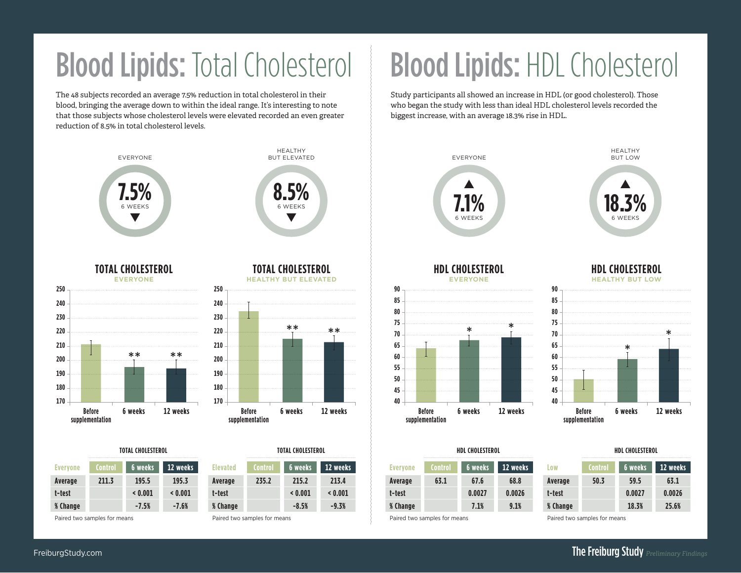# Blood Lipids: Total Cholesterol

The 48 subjects recorded an average 7.5% reduction in total cholesterol in their blood, bringing the average down to within the ideal range. It's interesting to note that those subjects whose cholesterol levels were elevated recorded an even greater reduction of 8.5% in total cholesterol levels.



| Evervone | Control | <b>6 weeks</b> | 12 weeks |
|----------|---------|----------------|----------|
| Average  | 211.3   | 195.5          | 195.3    |
| t-test   |         | < 0.001        | < 0.001  |
| % Change |         | $-7.5%$        | $-7.6%$  |

Paired two samples for means

Paired two samples for means

**Elevated Control 6 weeks 12 weeks Average 235.2 215.2 213.4 t-test < 0.001 < 0.001 % Change -8.5% -9.3%**

\*\*

# Blood Lipids: HDL Cholesterol

Study participants all showed an increase in HDL (or good cholesterol). Those who began the study with less than ideal HDL cholesterol levels recorded the biggest increase, with an average 18.3% rise in HDL.



**TOTAL CHOLESTEROL TOTAL CHOLESTEROL HDL CHOLESTEROL HDL CHOLESTEROL**

| <b>Everyone</b> | <b>Control</b> | 6 weeks | 12 weeks |
|-----------------|----------------|---------|----------|
| Average         | 63.1           | 67.6    | 68.8     |
| t-test          |                | 0.0027  | 0.0026   |
| % Change        |                | 7.1%    | 9.1%     |

Paired two samples for means

| Low            | <b>Control</b> | 6 weeks | 12 weeks |
|----------------|----------------|---------|----------|
| <b>Average</b> | 50.3           | 59.5    | 63.1     |
| t-test         |                | 0.0027  | 0.0026   |
| % Change       |                | 18.3%   | 25.6%    |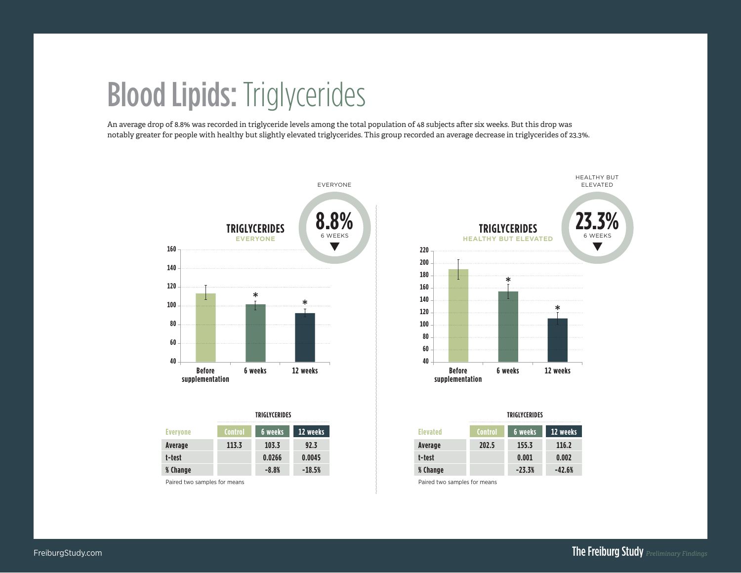## Blood Lipids: Triglycerides

An average drop of 8.8% was recorded in triglyceride levels among the total population of 48 subjects after six weeks. But this drop was notably greater for people with healthy but slightly elevated triglycerides. This group recorded an average decrease in triglycerides of 23.3%.



|                 |                | <b>TRIGLYCERIDES</b> |          |
|-----------------|----------------|----------------------|----------|
| <b>Evervone</b> | <b>Control</b> | <b>6</b> weeks       | 12 weeks |
| Average         | 113.3          | 103.3                | 92.3     |
| t-test          |                | 0.0266               | 0.0045   |
| % Change        |                | $-8.8%$              | $-18.5%$ |

Paired two samples for means



| TRIGLYCERIDES |          |          | TRIGLYCERIDES  |          |
|---------------|----------|----------|----------------|----------|
| 6 weeks       | 12 weeks | Flevated | <b>Control</b> | 6 weeks  |
| 103.3         | 92.3     | Average  | 202.5          | 155.3    |
| 0.0266        | 0.0045   | t-test   |                | 0.001    |
| $-8.8%$       | $-18.5%$ | % Change |                | $-23.3%$ |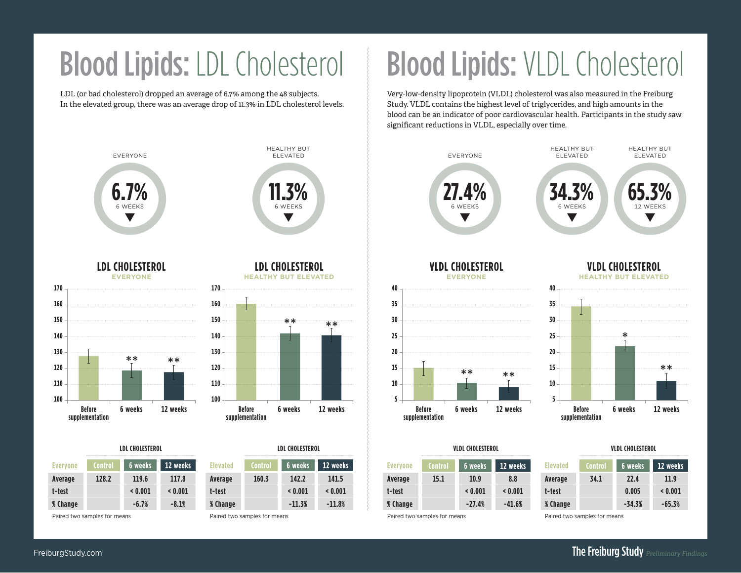LDL (or bad cholesterol) dropped an average of 6.7% among the 48 subjects. In the elevated group, there was an average drop of 11.3% in LDL cholesterol levels.



|                 | LDL CHOLESTEROL |           |          |                 | <b>LDL CHOLESTEROL</b> |          |          |
|-----------------|-----------------|-----------|----------|-----------------|------------------------|----------|----------|
| <b>Evervone</b> |                 | '6 weeks. | 12 weeks | <b>Elevated</b> |                        | 6 weeks  | 12 weeks |
| Average         | 128.2           | 119.6     | 117.8    | Average         | 160.3                  | 142.2    | 141.5    |
| t-test          |                 | < 0.001   | < 0.001  | t-test          |                        | < 0.001  | < 0.001  |
| <b>% Change</b> |                 | $-6.7%$   | $-8.1%$  | <b>% Change</b> |                        | $-11.3%$ | $-11.8%$ |

Paired two samples for means

Paired two samples for means

\*\*

# Blood Lipids: LDL Cholesterol | Blood Lipids: VLDL Cholesterol

Very-low-density lipoprotein (VLDL) cholesterol was also measured in the Freiburg Study. VLDL contains the highest level of triglycerides, and high amounts in the blood can be an indicator of poor cardiovascular health. Participants in the study saw significant reductions in VLDL, especially over time.



|  | <b>VLDL CHOLESTEROL</b> |  |
|--|-------------------------|--|
|  |                         |  |
|  |                         |  |

| <b>Everyone</b> | <b>Control</b> | 6 weeks  | 12 weeks |
|-----------------|----------------|----------|----------|
| Average         | 15.1           | 10.9     | 8.8      |
| t-test          |                | < 0.001  | < 0.001  |
| % Change        |                | $-27.4%$ | $-41.6%$ |

Paired two samples for means

**% Change -34.3% -65.3%**

**Elevated Control 6 weeks 12 weeks Average 34.1 22.4 11.9 t-test 0.005 < 0.001**

Paired two samples for means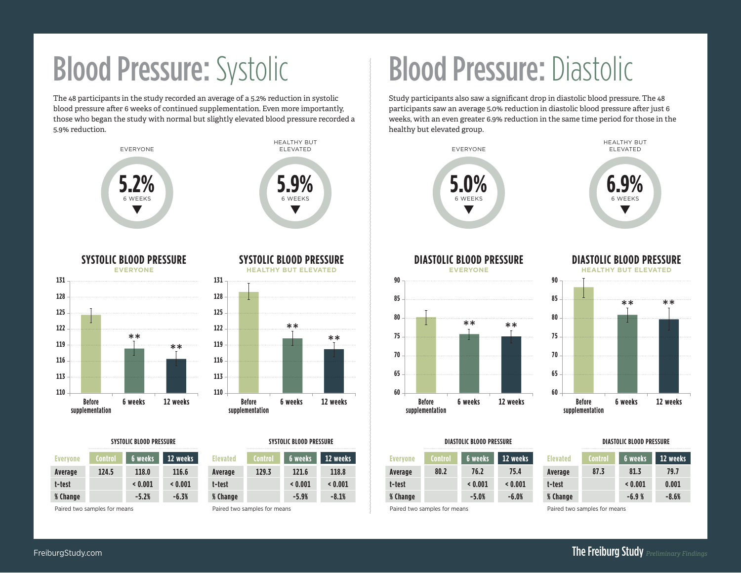The 48 participants in the study recorded an average of a 5.2% reduction in systolic blood pressure after 6 weeks of continued supplementation. Even more importantly, those who began the study with normal but slightly elevated blood pressure recorded a 5.9% reduction.





| <b>Everyone</b> | <b>Control</b> | 6 weeks | 12 weeks |
|-----------------|----------------|---------|----------|
| Average         | 124.5          | 118.0   | 116.6    |
| t-test          |                | < 0.001 | < 0.001  |
| <b>% Change</b> |                | $-5.2%$ | $-6.3%$  |

Paired two samples for means

**SYSTOLIC BLOOD PRESSURE**





| <b>Elevated</b> | <b>Control</b> | 6 weeks | 12 weeks |
|-----------------|----------------|---------|----------|
| Average         | 129.3          | 121.6   | 118.8    |
| t-test          |                | < 0.001 | < 0.001  |
| % Change        |                | $-5.9%$ | $-8.1%$  |

Paired two samples for means

# **Blood Pressure: Systolic Blood Pressure: Diastolic**

Study participants also saw a significant drop in diastolic blood pressure. The 48 participants saw an average 5.0% reduction in diastolic blood pressure after just 6 weeks, with an even greater 6.9% reduction in the same time period for those in the healthy but elevated group.



### **SYSTOLIC BLOOD PRESSURE SYSTOLIC BLOOD PRESSURE DIASTOLIC BLOOD PRESSURE DIASTOLIC BLOOD PRESSURE**

| <b>Everyone</b> | <b>Control</b> | 6 weeks | 12 weeks |
|-----------------|----------------|---------|----------|
| Average         | 80.2           | 76.2    | 75.4     |
| t-test          |                | < 0.001 | < 0.001  |
| % Change        |                | $-5.0%$ | $-6.0%$  |

Paired two samples for means

| <b>Elevated</b> | <b>Control</b> | 6 weeks | 12 weeks |
|-----------------|----------------|---------|----------|
| Average         | 87.3           | 81.3    | 79.7     |
| t-test          |                | < 0.001 | 0.001    |
| <b>% Change</b> |                | $-6.9%$ | $-8.6%$  |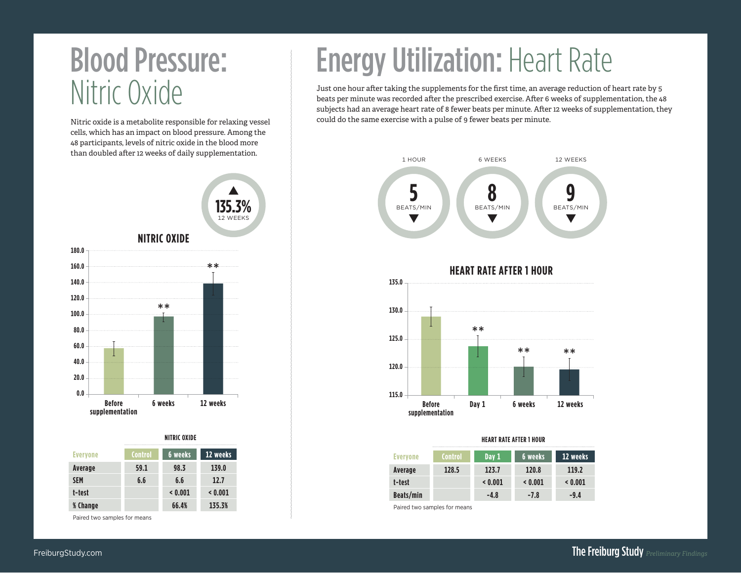### Blood Pressure: Nitric Oxide

Nitric oxide is a metabolite responsible for relaxing vessel cells, which has an impact on blood pressure. Among the 48 participants, levels of nitric oxide in the blood more



### **NITRIC OXIDE**

| <b>Everyone</b> | <b>Control</b> | <b>6 weeks</b> | 12 weeks |
|-----------------|----------------|----------------|----------|
| Average         | 59.1           | 98.3           | 139.0    |
| <b>SEM</b>      | 6.6            | 6.6            | 12.7     |
| t-test          |                | < 0.001        | < 0.001  |
| <b>% Change</b> |                | 66.4%          | 135.3%   |

Paired two samples for means

# **Energy Utilization: Heart Rate**

Just one hour after taking the supplements for the first time, an average reduction of heart rate by 5 beats per minute was recorded after the prescribed exercise. After 6 weeks of supplementation, the 48 subjects had an average heart rate of 8 fewer beats per minute. After 12 weeks of supplementation, they could do the same exercise with a pulse of 9 fewer beats per minute.



**HEART RATE AFTER 1 HOUR**



### **HEART RATE AFTER 1 HOUR**

| <b>Evervone</b> | <b>Control</b> | Day 1  | 6 weeks | 12 weeks |
|-----------------|----------------|--------|---------|----------|
| Average         | 128.5          | 123.7  | 120.8   | 119.2    |
| t-test          |                | 0.001  | < 0.001 | < 0.001  |
| Beats/min       |                | $-4.8$ | $-7.8$  | $-9.4$   |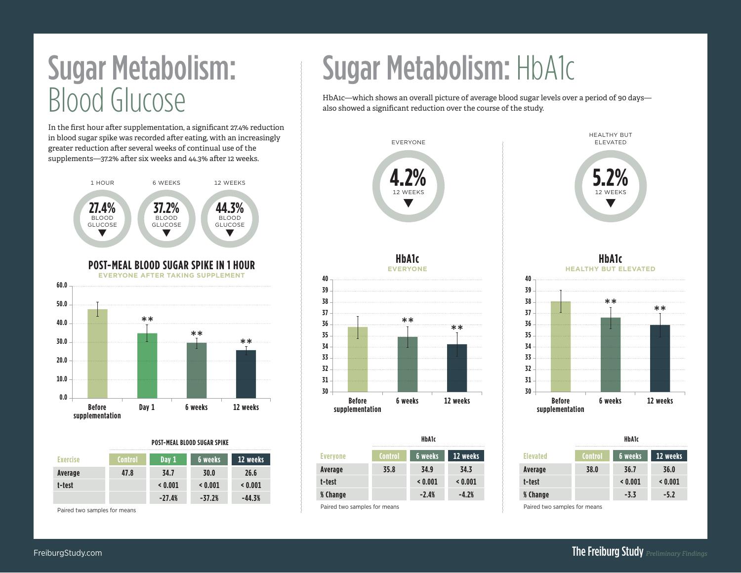# Blood Glucose

In the first hour after supplementation, a significant 27.4% reduction in blood sugar spike was recorded after eating, with an increasingly greater reduction after several weeks of continual use of the supplements—37.2% after six weeks and 44.3% after 12 weeks.



### **POST-MEAL BLOOD SUGAR SPIKE**

| <b>Exercise</b> | Control | Day 1    | 6 weeks  | 12 weeks |
|-----------------|---------|----------|----------|----------|
| Average         | 47.8    | 34.7     | 30.0     | 26.6     |
| t-test          |         | < 0.001  | < 0.001  | < 0.001  |
|                 |         | $-27.4%$ | $-37.2%$ | $-44.3%$ |

Paired two samples for means

# Sugar Metabolism: Sugar Metabolism: HbA1c

HbA1c—which shows an overall picture of average blood sugar levels over a period of 90 days also showed a significant reduction over the course of the study.



|                 | HDAIC          |         |          |  |  |  |
|-----------------|----------------|---------|----------|--|--|--|
| <b>Everyone</b> | <b>Control</b> | 6 weeks | 12 weeks |  |  |  |
| Average         | 35.8           | 34.9    | 34.3     |  |  |  |
| t-test          |                | < 0.001 | < 0.001  |  |  |  |
| <b>% Change</b> |                | $-2.4%$ | $-4.2%$  |  |  |  |
| _ _ _ _         |                |         |          |  |  |  |

### Paired two samples for means



HEALTHY BUT ELEVATED

> **5.2%** 12 WEEKS ▼

| HbA1c   |          |                 |                | <b>HbA1c</b> |          |
|---------|----------|-----------------|----------------|--------------|----------|
| weeks   | 12 weeks | <b>Elevated</b> | <b>Control</b> | 6 weeks      | 12 weeks |
| 34.9    | 34.3     | Average         | 38.0           | 36.7         | 36.0     |
| 0.001   | < 0.001  | t-test          |                | < 0.001      | < 0.001  |
| $-2.4%$ | $-4.2%$  | % Change        |                | $-3.3$       | $-5.2$   |